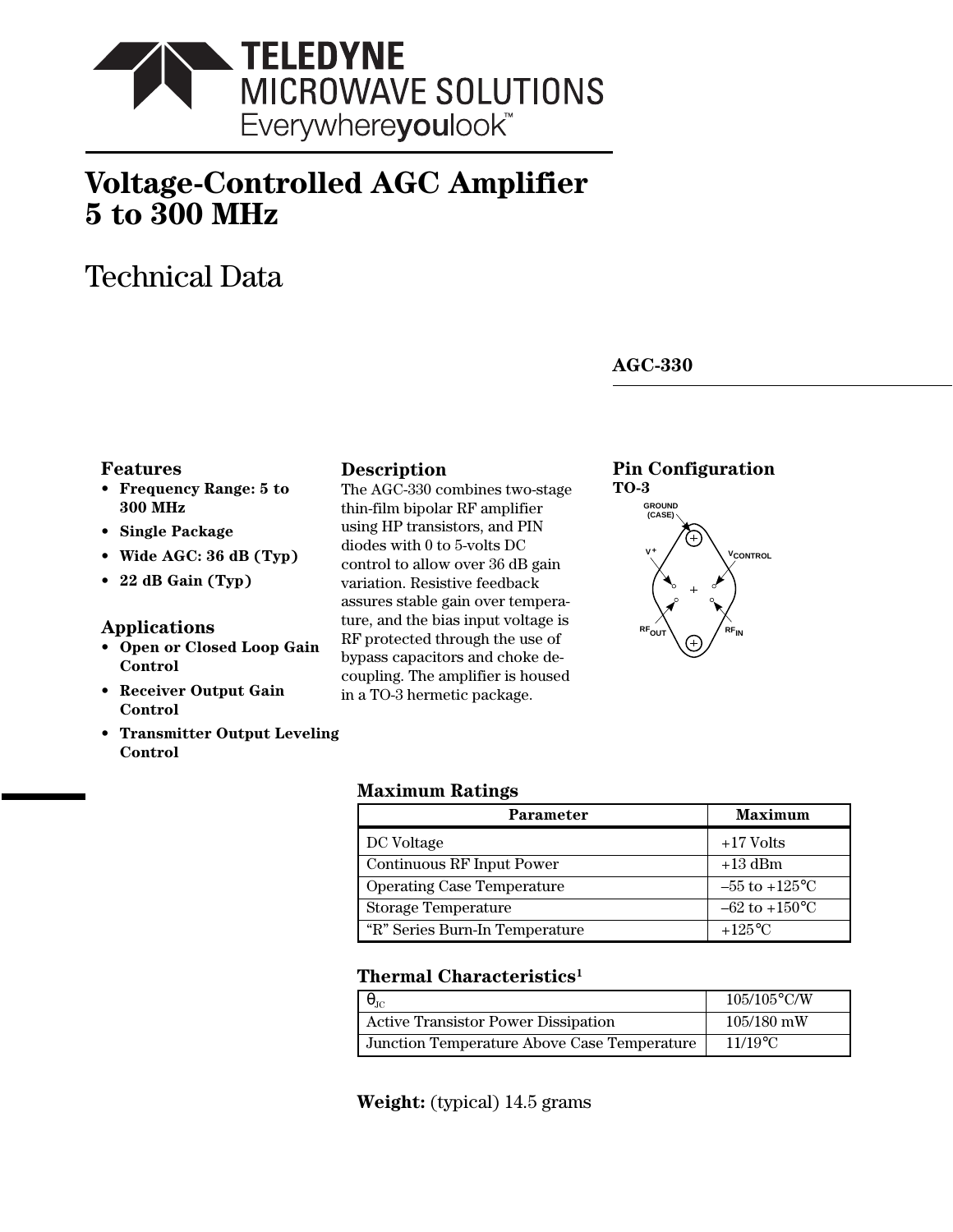

# **Voltage-Controlled AGC Amplifier 5 to 300 MHz**

# Technical Data

# **AGC-330**

## **Features**

- **Frequency Range: 5 to 300 MHz**
- **Single Package**
- **Wide AGC: 36 dB (Typ)**
- **22 dB Gain (Typ)**

## **Applications**

- **Open or Closed Loop Gain Control**
- **Receiver Output Gain Control**
- **Transmitter Output Leveling Control**

## **Description**

The AGC-330 combines two-stage thin-film bipolar RF amplifier using HP transistors, and PIN diodes with 0 to 5-volts DC control to allow over 36 dB gain variation. Resistive feedback assures stable gain over temperature, and the bias input voltage is RF protected through the use of bypass capacitors and choke decoupling. The amplifier is housed in a TO-3 hermetic package.

# **Pin Configuration**



## **Maximum Ratings**

| Parameter                         | <b>Maximum</b>            |
|-----------------------------------|---------------------------|
| DC Voltage                        | $+17$ Volts               |
| <b>Continuous RF Input Power</b>  | $+13$ dBm                 |
| <b>Operating Case Temperature</b> | $-55$ to $+125$ °C        |
| <b>Storage Temperature</b>        | $-62$ to $+150^{\circ}$ C |
| "R" Series Burn-In Temperature    | $+125\textdegree C$       |

# **Thermal Characteristics1**

| $\alpha$ <sup>1C</sup>                      | $105/105$ °C/W |
|---------------------------------------------|----------------|
| <b>Active Transistor Power Dissipation</b>  | $105/180$ mW   |
| Junction Temperature Above Case Temperature | $11/19$ °C     |

## **Weight:** (typical) 14.5 grams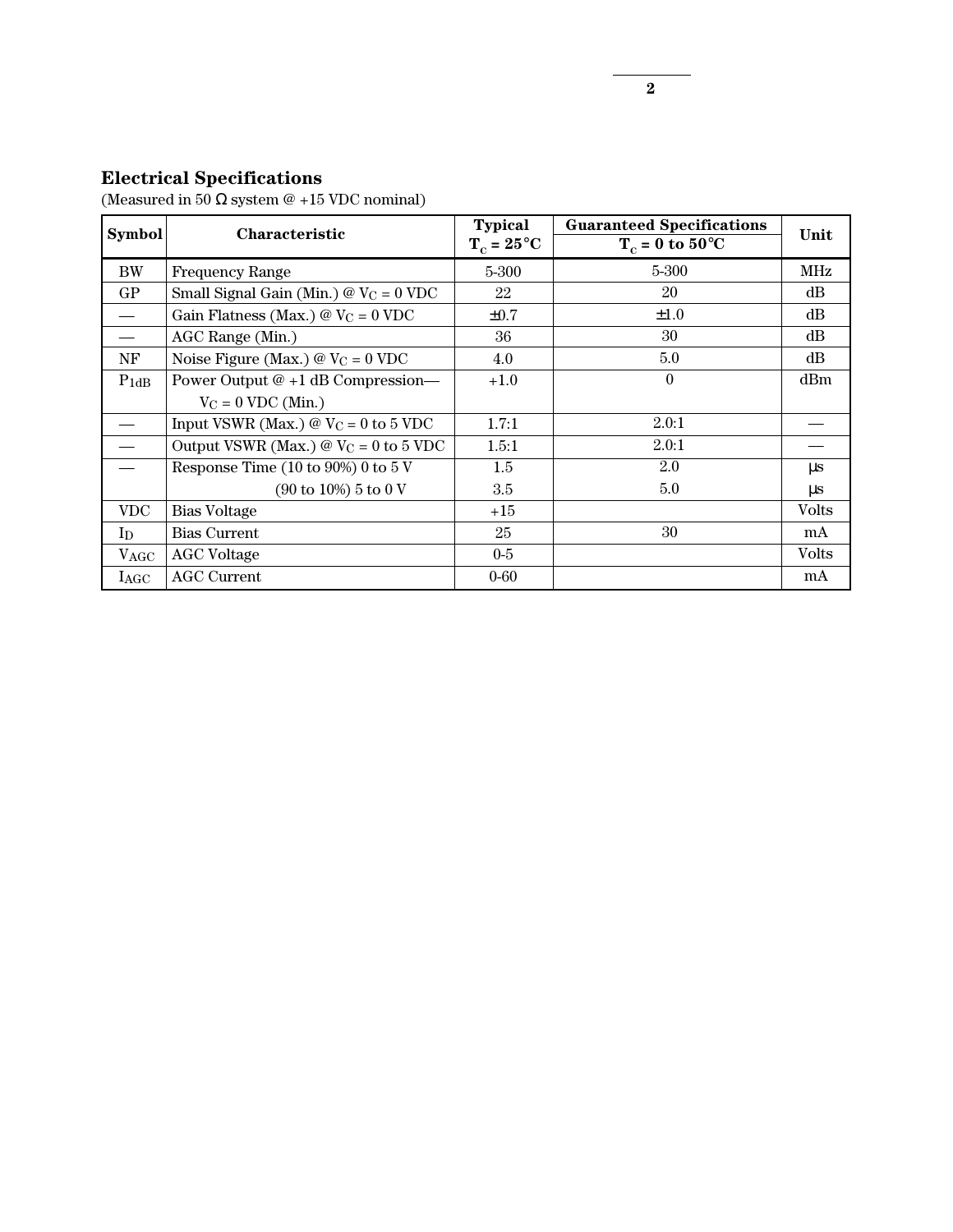## **Electrical Specifications**

(Measured in 50  $\Omega$  system @ +15 VDC nominal)

| <b>Symbol</b>                 | Characteristic                                          | <b>Typical</b><br>$T_c = 25^{\circ}C$ | <b>Guaranteed Specifications</b><br>$T_c = 0$ to 50°C | Unit         |
|-------------------------------|---------------------------------------------------------|---------------------------------------|-------------------------------------------------------|--------------|
| <b>BW</b>                     | <b>Frequency Range</b>                                  | 5-300                                 | 5-300                                                 | MHz          |
| GP                            | Small Signal Gain (Min.) $@V_C = 0$ VDC                 | 22                                    | 20                                                    | dB           |
| $\qquad \qquad$               | Gain Flatness (Max.) @ $V_C = 0$ VDC                    | $\pm 0.7$                             | $\pm 1.0$                                             | dB           |
|                               | AGC Range (Min.)                                        | 36                                    | 30                                                    | dB           |
| NF                            | Noise Figure (Max.) $\omega$ V <sub>C</sub> = 0 VDC     | 4.0                                   | 5.0                                                   | dB           |
| $P_{1dB}$                     | Power Output $@+1$ dB Compression—                      | $+1.0$                                | $\theta$                                              | dBm          |
|                               | $V_C = 0$ VDC (Min.)                                    |                                       |                                                       |              |
|                               | Input VSWR (Max.) $@$ V <sub>C</sub> = 0 to 5 VDC       | 1.7:1                                 | 2.0:1                                                 |              |
| $\overbrace{\phantom{aaaaa}}$ | Output VSWR (Max.) $\omega$ V <sub>C</sub> = 0 to 5 VDC | 1.5:1                                 | 2.0:1                                                 |              |
|                               | Response Time $(10 \text{ to } 90\%)$ 0 to 5 V          | 1.5                                   | 2.0                                                   | $\mu s$      |
|                               | $(90 \text{ to } 10\%)$ 5 to 0 V                        | 3.5                                   | 5.0                                                   | μs           |
| <b>VDC</b>                    | Bias Voltage                                            | $+15$                                 |                                                       | <b>Volts</b> |
| $\text{In}$                   | <b>Bias Current</b>                                     | 25                                    | 30                                                    | mA           |
| $V_{\rm AGC}$                 | <b>AGC</b> Voltage                                      | $0-5$                                 |                                                       | <b>Volts</b> |
| $I_{\rm{AGC}}$                | <b>AGC Current</b>                                      | $0 - 60$                              |                                                       | mA           |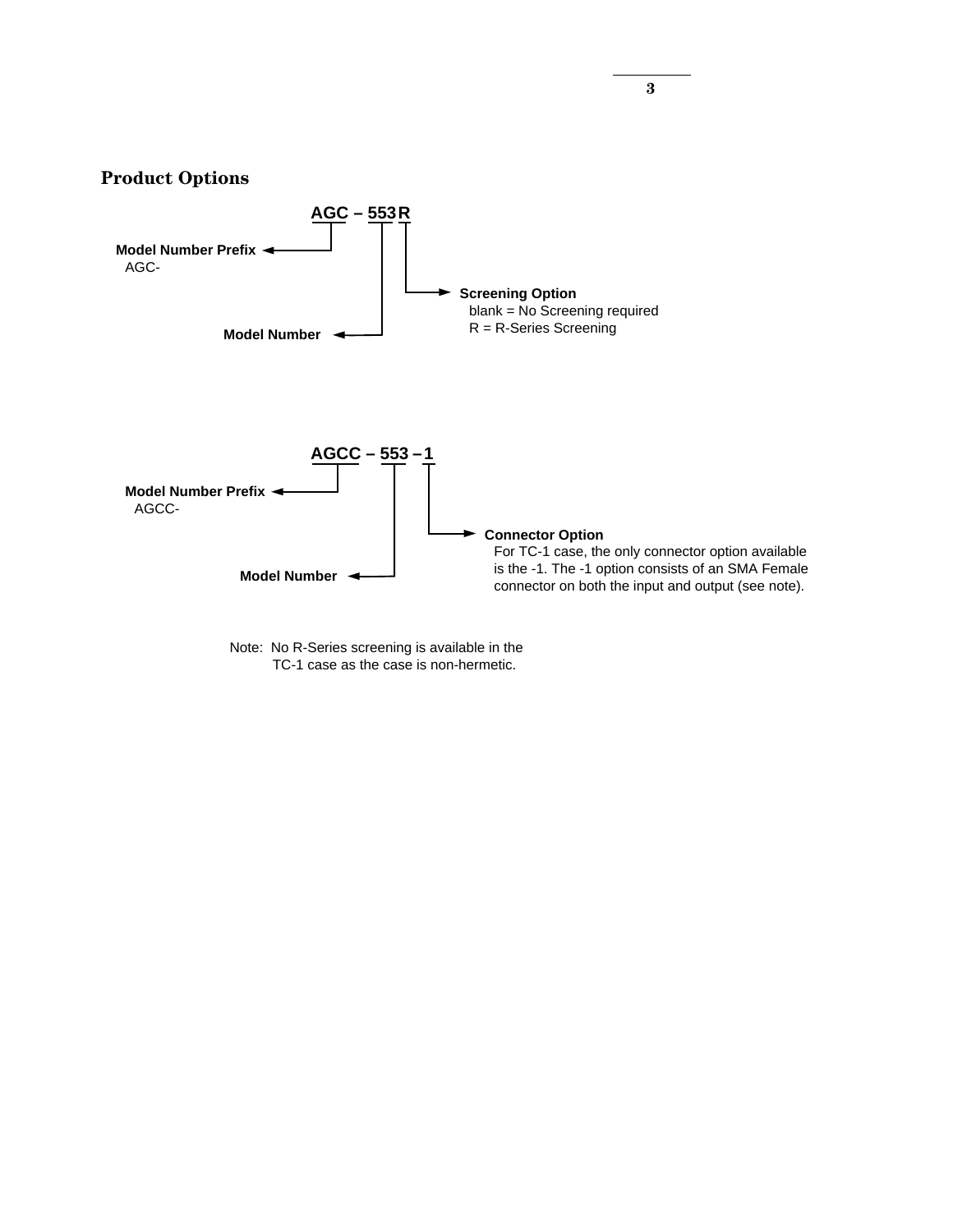

Note: No R-Series screening is available in the TC-1 case as the case is non-hermetic.

**3**